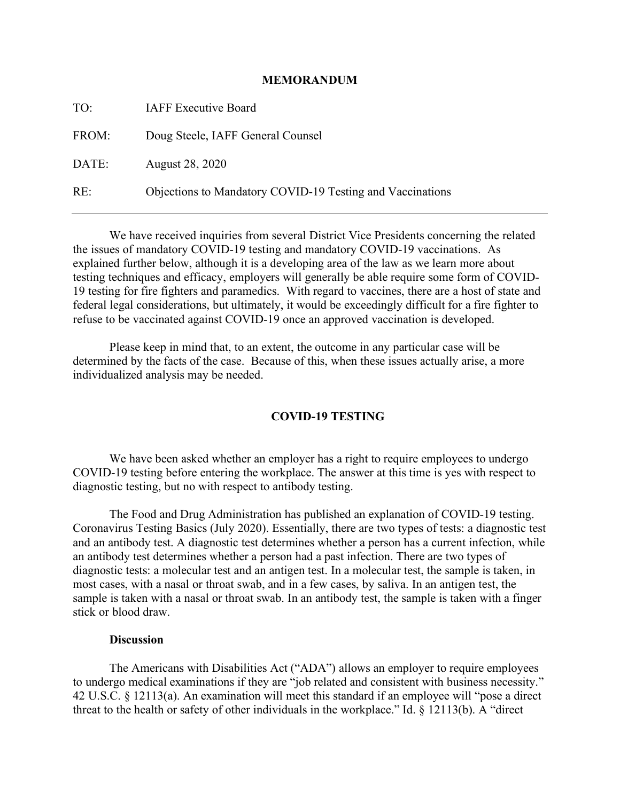#### **MEMORANDUM**

TO: IAFF Executive Board FROM: Doug Steele, IAFF General Counsel DATE: August 28, 2020 RE: Objections to Mandatory COVID-19 Testing and Vaccinations

We have received inquiries from several District Vice Presidents concerning the related the issues of mandatory COVID-19 testing and mandatory COVID-19 vaccinations. As explained further below, although it is a developing area of the law as we learn more about testing techniques and efficacy, employers will generally be able require some form of COVID-19 testing for fire fighters and paramedics. With regard to vaccines, there are a host of state and federal legal considerations, but ultimately, it would be exceedingly difficult for a fire fighter to refuse to be vaccinated against COVID-19 once an approved vaccination is developed.

Please keep in mind that, to an extent, the outcome in any particular case will be determined by the facts of the case. Because of this, when these issues actually arise, a more individualized analysis may be needed.

### **COVID-19 TESTING**

We have been asked whether an employer has a right to require employees to undergo COVID-19 testing before entering the workplace. The answer at this time is yes with respect to diagnostic testing, but no with respect to antibody testing.

The Food and Drug Administration has published an explanation of COVID-19 testing. Coronavirus Testing Basics (July 2020). Essentially, there are two types of tests: a diagnostic test and an antibody test. A diagnostic test determines whether a person has a current infection, while an antibody test determines whether a person had a past infection. There are two types of diagnostic tests: a molecular test and an antigen test. In a molecular test, the sample is taken, in most cases, with a nasal or throat swab, and in a few cases, by saliva. In an antigen test, the sample is taken with a nasal or throat swab. In an antibody test, the sample is taken with a finger stick or blood draw.

### **Discussion**

The Americans with Disabilities Act ("ADA") allows an employer to require employees to undergo medical examinations if they are "job related and consistent with business necessity." 42 U.S.C. § 12113(a). An examination will meet this standard if an employee will "pose a direct threat to the health or safety of other individuals in the workplace." Id. § 12113(b). A "direct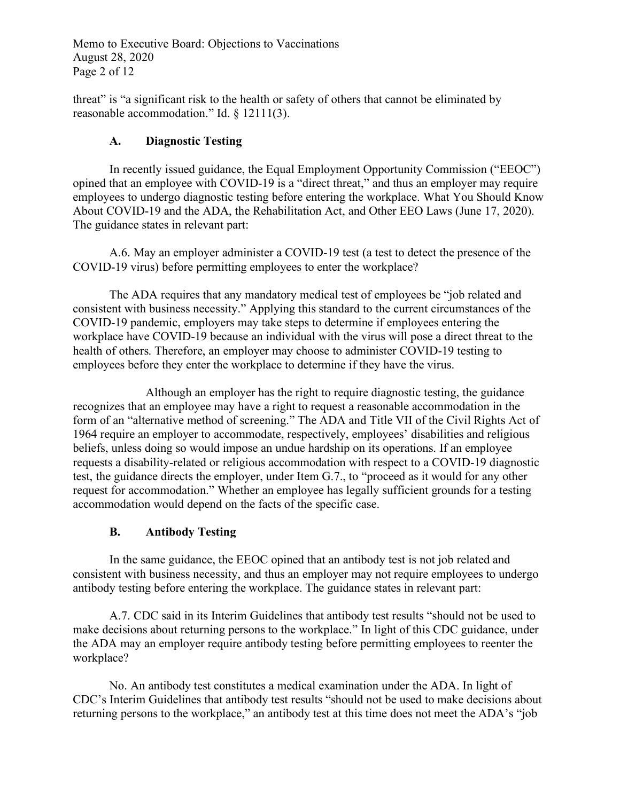Memo to Executive Board: Objections to Vaccinations August 28, 2020 Page 2 of 12

threat" is "a significant risk to the health or safety of others that cannot be eliminated by reasonable accommodation." Id. § 12111(3).

# **A. Diagnostic Testing**

In recently issued guidance, the Equal Employment Opportunity Commission ("EEOC") opined that an employee with COVID-19 is a "direct threat," and thus an employer may require employees to undergo diagnostic testing before entering the workplace. What You Should Know About COVID-19 and the ADA, the Rehabilitation Act, and Other EEO Laws (June 17, 2020). The guidance states in relevant part:

A.6. May an employer administer a COVID-19 test (a test to detect the presence of the COVID-19 virus) before permitting employees to enter the workplace?

The ADA requires that any mandatory medical test of employees be "job related and consistent with business necessity." Applying this standard to the current circumstances of the COVID-19 pandemic, employers may take steps to determine if employees entering the workplace have COVID-19 because an individual with the virus will pose a direct threat to the health of others. Therefore, an employer may choose to administer COVID-19 testing to employees before they enter the workplace to determine if they have the virus.

Although an employer has the right to require diagnostic testing, the guidance recognizes that an employee may have a right to request a reasonable accommodation in the form of an "alternative method of screening." The ADA and Title VII of the Civil Rights Act of 1964 require an employer to accommodate, respectively, employees' disabilities and religious beliefs, unless doing so would impose an undue hardship on its operations. If an employee requests a disability-related or religious accommodation with respect to a COVID-19 diagnostic test, the guidance directs the employer, under Item G.7., to "proceed as it would for any other request for accommodation." Whether an employee has legally sufficient grounds for a testing accommodation would depend on the facts of the specific case.

# **B. Antibody Testing**

In the same guidance, the EEOC opined that an antibody test is not job related and consistent with business necessity, and thus an employer may not require employees to undergo antibody testing before entering the workplace. The guidance states in relevant part:

A.7. CDC said in its Interim Guidelines that antibody test results "should not be used to make decisions about returning persons to the workplace." In light of this CDC guidance, under the ADA may an employer require antibody testing before permitting employees to reenter the workplace?

No. An antibody test constitutes a medical examination under the ADA. In light of CDC's Interim Guidelines that antibody test results "should not be used to make decisions about returning persons to the workplace," an antibody test at this time does not meet the ADA's "job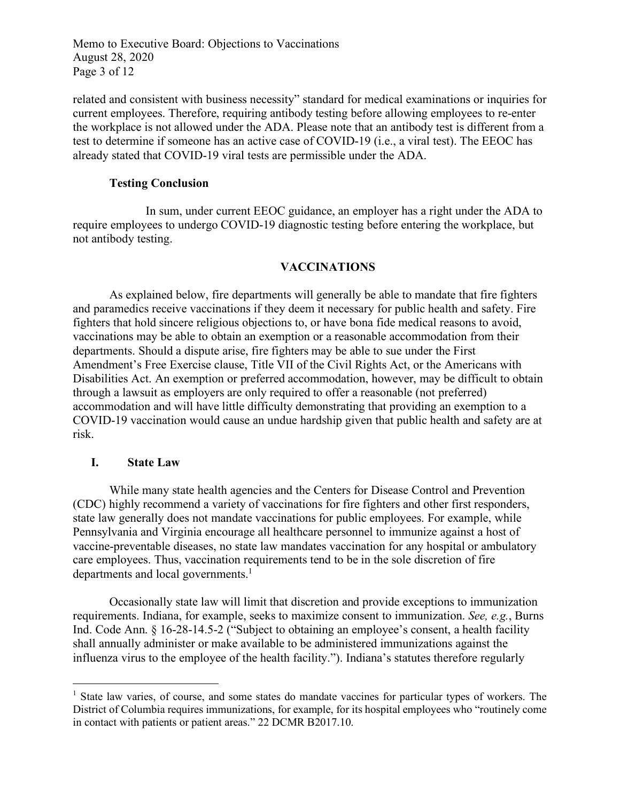Memo to Executive Board: Objections to Vaccinations August 28, 2020 Page 3 of 12

related and consistent with business necessity" standard for medical examinations or inquiries for current employees. Therefore, requiring antibody testing before allowing employees to re-enter the workplace is not allowed under the ADA. Please note that an antibody test is different from a test to determine if someone has an active case of COVID-19 (i.e., a viral test). The EEOC has already stated that COVID-19 viral tests are permissible under the ADA.

## **Testing Conclusion**

In sum, under current EEOC guidance, an employer has a right under the ADA to require employees to undergo COVID-19 diagnostic testing before entering the workplace, but not antibody testing.

## **VACCINATIONS**

As explained below, fire departments will generally be able to mandate that fire fighters and paramedics receive vaccinations if they deem it necessary for public health and safety. Fire fighters that hold sincere religious objections to, or have bona fide medical reasons to avoid, vaccinations may be able to obtain an exemption or a reasonable accommodation from their departments. Should a dispute arise, fire fighters may be able to sue under the First Amendment's Free Exercise clause, Title VII of the Civil Rights Act, or the Americans with Disabilities Act. An exemption or preferred accommodation, however, may be difficult to obtain through a lawsuit as employers are only required to offer a reasonable (not preferred) accommodation and will have little difficulty demonstrating that providing an exemption to a COVID-19 vaccination would cause an undue hardship given that public health and safety are at risk.

## **I. State Law**

While many state health agencies and the Centers for Disease Control and Prevention (CDC) highly recommend a variety of vaccinations for fire fighters and other first responders, state law generally does not mandate vaccinations for public employees. For example, while Pennsylvania and Virginia encourage all healthcare personnel to immunize against a host of vaccine-preventable diseases, no state law mandates vaccination for any hospital or ambulatory care employees. Thus, vaccination requirements tend to be in the sole discretion of fire departments and local governments.<sup>1</sup>

Occasionally state law will limit that discretion and provide exceptions to immunization requirements. Indiana, for example, seeks to maximize consent to immunization. *See, e.g.*, Burns Ind. Code Ann. § 16-28-14.5-2 ("Subject to obtaining an employee's consent, a health facility shall annually administer or make available to be administered immunizations against the influenza virus to the employee of the health facility."). Indiana's statutes therefore regularly

<sup>&</sup>lt;sup>1</sup> State law varies, of course, and some states do mandate vaccines for particular types of workers. The District of Columbia requires immunizations, for example, for its hospital employees who "routinely come in contact with patients or patient areas." 22 DCMR B2017.10.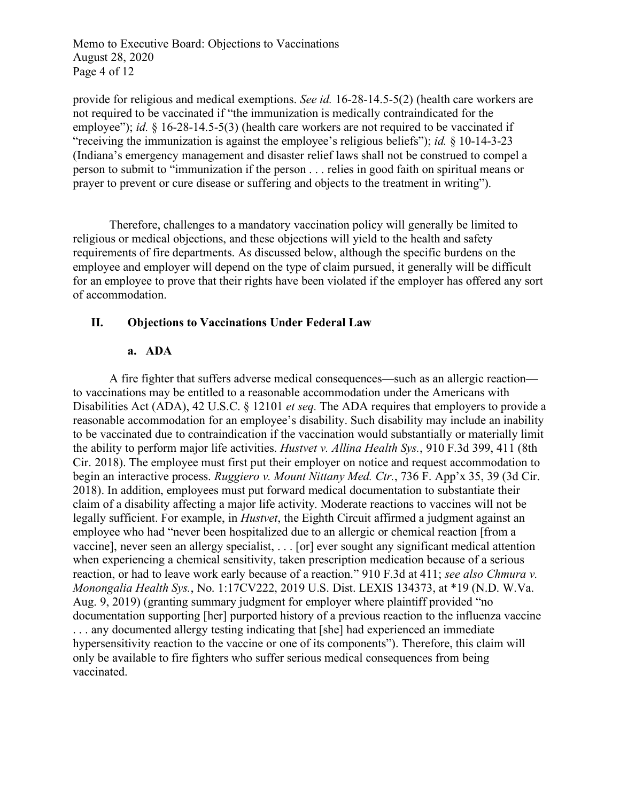Memo to Executive Board: Objections to Vaccinations August 28, 2020 Page 4 of 12

provide for religious and medical exemptions. *See id.* 16-28-14.5-5(2) (health care workers are not required to be vaccinated if "the immunization is medically contraindicated for the employee"); *id.* § 16-28-14.5-5(3) (health care workers are not required to be vaccinated if "receiving the immunization is against the employee's religious beliefs"); *id.* § 10-14-3-23 (Indiana's emergency management and disaster relief laws shall not be construed to compel a person to submit to "immunization if the person . . . relies in good faith on spiritual means or prayer to prevent or cure disease or suffering and objects to the treatment in writing").

Therefore, challenges to a mandatory vaccination policy will generally be limited to religious or medical objections, and these objections will yield to the health and safety requirements of fire departments. As discussed below, although the specific burdens on the employee and employer will depend on the type of claim pursued, it generally will be difficult for an employee to prove that their rights have been violated if the employer has offered any sort of accommodation.

## **II. Objections to Vaccinations Under Federal Law**

## **a. ADA**

A fire fighter that suffers adverse medical consequences—such as an allergic reaction to vaccinations may be entitled to a reasonable accommodation under the Americans with Disabilities Act (ADA), 42 U.S.C. § 12101 *et seq.* The ADA requires that employers to provide a reasonable accommodation for an employee's disability. Such disability may include an inability to be vaccinated due to contraindication if the vaccination would substantially or materially limit the ability to perform major life activities. *Hustvet v. Allina Health Sys.*, 910 F.3d 399, 411 (8th Cir. 2018). The employee must first put their employer on notice and request accommodation to begin an interactive process. *Ruggiero v. Mount Nittany Med. Ctr.*, 736 F. App'x 35, 39 (3d Cir. 2018). In addition, employees must put forward medical documentation to substantiate their claim of a disability affecting a major life activity. Moderate reactions to vaccines will not be legally sufficient. For example, in *Hustvet*, the Eighth Circuit affirmed a judgment against an employee who had "never been hospitalized due to an allergic or chemical reaction [from a vaccine], never seen an allergy specialist, . . . [or] ever sought any significant medical attention when experiencing a chemical sensitivity, taken prescription medication because of a serious reaction, or had to leave work early because of a reaction." 910 F.3d at 411; *see also Chmura v. Monongalia Health Sys.*, No. 1:17CV222, 2019 U.S. Dist. LEXIS 134373, at \*19 (N.D. W.Va. Aug. 9, 2019) (granting summary judgment for employer where plaintiff provided "no documentation supporting [her] purported history of a previous reaction to the influenza vaccine . . . any documented allergy testing indicating that [she] had experienced an immediate hypersensitivity reaction to the vaccine or one of its components"). Therefore, this claim will only be available to fire fighters who suffer serious medical consequences from being vaccinated.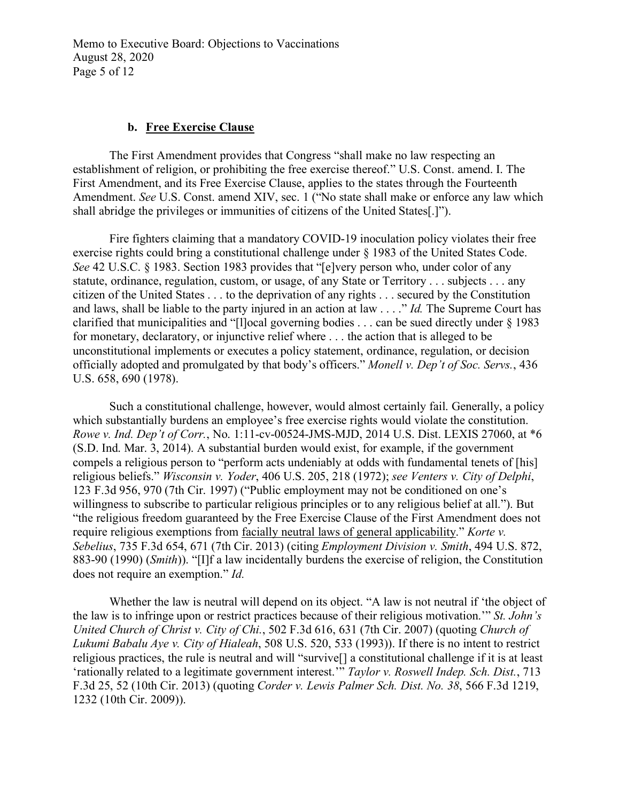Memo to Executive Board: Objections to Vaccinations August 28, 2020 Page 5 of 12

#### **b. Free Exercise Clause**

The First Amendment provides that Congress "shall make no law respecting an establishment of religion, or prohibiting the free exercise thereof." U.S. Const. amend. I. The First Amendment, and its Free Exercise Clause, applies to the states through the Fourteenth Amendment. *See* U.S. Const. amend XIV, sec. 1 ("No state shall make or enforce any law which shall abridge the privileges or immunities of citizens of the United States[.]").

Fire fighters claiming that a mandatory COVID-19 inoculation policy violates their free exercise rights could bring a constitutional challenge under § 1983 of the United States Code. *See* 42 U.S.C. § 1983. Section 1983 provides that "[e]very person who, under color of any statute, ordinance, regulation, custom, or usage, of any State or Territory . . . subjects . . . any citizen of the United States . . . to the deprivation of any rights . . . secured by the Constitution and laws, shall be liable to the party injured in an action at law . . . ." *Id.* The Supreme Court has clarified that municipalities and "[l]ocal governing bodies . . . can be sued directly under § 1983 for monetary, declaratory, or injunctive relief where . . . the action that is alleged to be unconstitutional implements or executes a policy statement, ordinance, regulation, or decision officially adopted and promulgated by that body's officers." *Monell v. Dep't of Soc. Servs.*, 436 U.S. 658, 690 (1978).

Such a constitutional challenge, however, would almost certainly fail. Generally, a policy which substantially burdens an employee's free exercise rights would violate the constitution. *Rowe v. Ind. Dep't of Corr.*, No. 1:11-cv-00524-JMS-MJD, 2014 U.S. Dist. LEXIS 27060, at \*6 (S.D. Ind. Mar. 3, 2014). A substantial burden would exist, for example, if the government compels a religious person to "perform acts undeniably at odds with fundamental tenets of [his] religious beliefs." *Wisconsin v. Yoder*, 406 U.S. 205, 218 (1972); *see Venters v. City of Delphi*, 123 F.3d 956, 970 (7th Cir. 1997) ("Public employment may not be conditioned on one's willingness to subscribe to particular religious principles or to any religious belief at all."). But "the religious freedom guaranteed by the Free Exercise Clause of the First Amendment does not require religious exemptions from facially neutral laws of general applicability." *Korte v. Sebelius*, 735 F.3d 654, 671 (7th Cir. 2013) (citing *Employment Division v. Smith*, 494 U.S. 872, 883-90 (1990) (*Smith*)). "[I]f a law incidentally burdens the exercise of religion, the Constitution does not require an exemption." *Id.*

Whether the law is neutral will depend on its object. "A law is not neutral if 'the object of the law is to infringe upon or restrict practices because of their religious motivation.'" *St. John's United Church of Christ v. City of Chi.*, 502 F.3d 616, 631 (7th Cir. 2007) (quoting *Church of Lukumi Babalu Aye v. City of Hialeah*, 508 U.S. 520, 533 (1993)). If there is no intent to restrict religious practices, the rule is neutral and will "survive[] a constitutional challenge if it is at least 'rationally related to a legitimate government interest.'" *Taylor v. Roswell Indep. Sch. Dist.*, 713 F.3d 25, 52 (10th Cir. 2013) (quoting *Corder v. Lewis Palmer Sch. Dist. No. 38*, 566 F.3d 1219, 1232 (10th Cir. 2009)).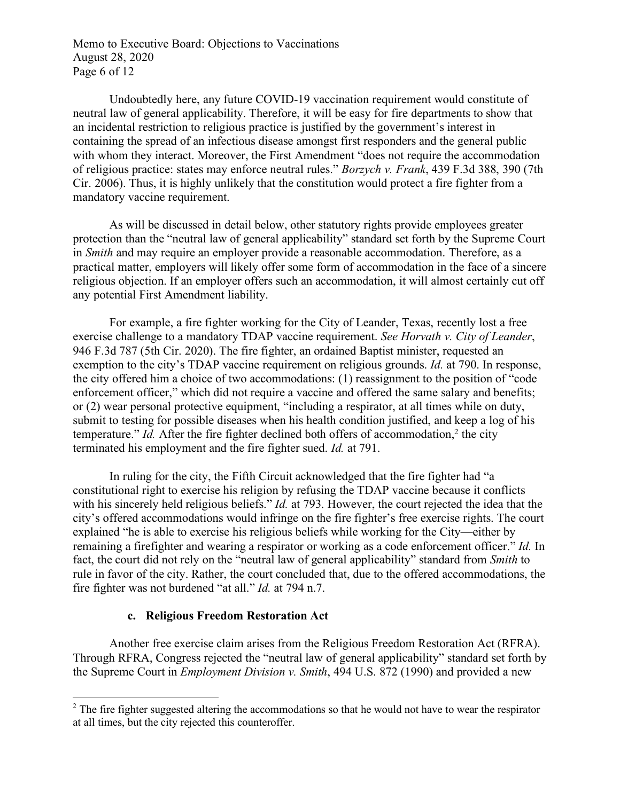Memo to Executive Board: Objections to Vaccinations August 28, 2020 Page 6 of 12

Undoubtedly here, any future COVID-19 vaccination requirement would constitute of neutral law of general applicability. Therefore, it will be easy for fire departments to show that an incidental restriction to religious practice is justified by the government's interest in containing the spread of an infectious disease amongst first responders and the general public with whom they interact. Moreover, the First Amendment "does not require the accommodation of religious practice: states may enforce neutral rules." *Borzych v. Frank*, 439 F.3d 388, 390 (7th Cir. 2006). Thus, it is highly unlikely that the constitution would protect a fire fighter from a mandatory vaccine requirement.

As will be discussed in detail below, other statutory rights provide employees greater protection than the "neutral law of general applicability" standard set forth by the Supreme Court in *Smith* and may require an employer provide a reasonable accommodation. Therefore, as a practical matter, employers will likely offer some form of accommodation in the face of a sincere religious objection. If an employer offers such an accommodation, it will almost certainly cut off any potential First Amendment liability.

For example, a fire fighter working for the City of Leander, Texas, recently lost a free exercise challenge to a mandatory TDAP vaccine requirement. *See Horvath v. City of Leander*, 946 F.3d 787 (5th Cir. 2020). The fire fighter, an ordained Baptist minister, requested an exemption to the city's TDAP vaccine requirement on religious grounds. *Id.* at 790. In response, the city offered him a choice of two accommodations: (1) reassignment to the position of "code enforcement officer," which did not require a vaccine and offered the same salary and benefits; or (2) wear personal protective equipment, "including a respirator, at all times while on duty, submit to testing for possible diseases when his health condition justified, and keep a log of his temperature." *Id.* After the fire fighter declined both offers of accommodation,<sup>2</sup> the city terminated his employment and the fire fighter sued. *Id.* at 791.

In ruling for the city, the Fifth Circuit acknowledged that the fire fighter had "a constitutional right to exercise his religion by refusing the TDAP vaccine because it conflicts with his sincerely held religious beliefs." *Id.* at 793. However, the court rejected the idea that the city's offered accommodations would infringe on the fire fighter's free exercise rights. The court explained "he is able to exercise his religious beliefs while working for the City—either by remaining a firefighter and wearing a respirator or working as a code enforcement officer." *Id.* In fact, the court did not rely on the "neutral law of general applicability" standard from *Smith* to rule in favor of the city. Rather, the court concluded that, due to the offered accommodations, the fire fighter was not burdened "at all." *Id.* at 794 n.7.

## **c. Religious Freedom Restoration Act**

Another free exercise claim arises from the Religious Freedom Restoration Act (RFRA). Through RFRA, Congress rejected the "neutral law of general applicability" standard set forth by the Supreme Court in *Employment Division v. Smith*, 494 U.S. 872 (1990) and provided a new

<sup>&</sup>lt;sup>2</sup> The fire fighter suggested altering the accommodations so that he would not have to wear the respirator at all times, but the city rejected this counteroffer.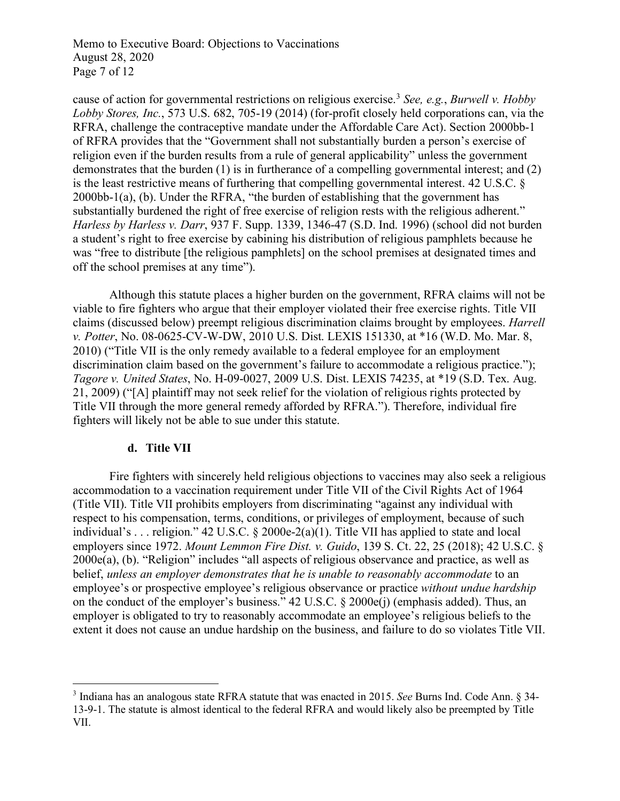Memo to Executive Board: Objections to Vaccinations August 28, 2020 Page 7 of 12

cause of action for governmental restrictions on religious exercise. <sup>3</sup> *See, e.g.*, *Burwell v. Hobby Lobby Stores, Inc.*, 573 U.S. 682, 705-19 (2014) (for-profit closely held corporations can, via the RFRA, challenge the contraceptive mandate under the Affordable Care Act). Section 2000bb-1 of RFRA provides that the "Government shall not substantially burden a person's exercise of religion even if the burden results from a rule of general applicability" unless the government demonstrates that the burden (1) is in furtherance of a compelling governmental interest; and (2) is the least restrictive means of furthering that compelling governmental interest. 42 U.S.C. § 2000bb-1(a), (b). Under the RFRA, "the burden of establishing that the government has substantially burdened the right of free exercise of religion rests with the religious adherent." *Harless by Harless v. Darr*, 937 F. Supp. 1339, 1346-47 (S.D. Ind. 1996) (school did not burden a student's right to free exercise by cabining his distribution of religious pamphlets because he was "free to distribute [the religious pamphlets] on the school premises at designated times and off the school premises at any time").

Although this statute places a higher burden on the government, RFRA claims will not be viable to fire fighters who argue that their employer violated their free exercise rights. Title VII claims (discussed below) preempt religious discrimination claims brought by employees. *Harrell v. Potter*, No. 08-0625-CV-W-DW, 2010 U.S. Dist. LEXIS 151330, at \*16 (W.D. Mo. Mar. 8, 2010) ("Title VII is the only remedy available to a federal employee for an employment discrimination claim based on the government's failure to accommodate a religious practice."); *Tagore v. United States*, No. H-09-0027, 2009 U.S. Dist. LEXIS 74235, at \*19 (S.D. Tex. Aug. 21, 2009) ("[A] plaintiff may not seek relief for the violation of religious rights protected by Title VII through the more general remedy afforded by RFRA."). Therefore, individual fire fighters will likely not be able to sue under this statute.

## **d. Title VII**

Fire fighters with sincerely held religious objections to vaccines may also seek a religious accommodation to a vaccination requirement under Title VII of the Civil Rights Act of 1964 (Title VII). Title VII prohibits employers from discriminating "against any individual with respect to his compensation, terms, conditions, or privileges of employment, because of such individual's . . . religion." 42 U.S.C. § 2000e-2(a)(1). Title VII has applied to state and local employers since 1972. *Mount Lemmon Fire Dist. v. Guido*, 139 S. Ct. 22, 25 (2018); 42 U.S.C. § 2000e(a), (b). "Religion" includes "all aspects of religious observance and practice, as well as belief, *unless an employer demonstrates that he is unable to reasonably accommodate* to an employee's or prospective employee's religious observance or practice *without undue hardship* on the conduct of the employer's business." 42 U.S.C. § 2000e(j) (emphasis added). Thus, an employer is obligated to try to reasonably accommodate an employee's religious beliefs to the extent it does not cause an undue hardship on the business, and failure to do so violates Title VII.

 <sup>3</sup> Indiana has an analogous state RFRA statute that was enacted in 2015. *See* Burns Ind. Code Ann. § 34- 13-9-1. The statute is almost identical to the federal RFRA and would likely also be preempted by Title VII.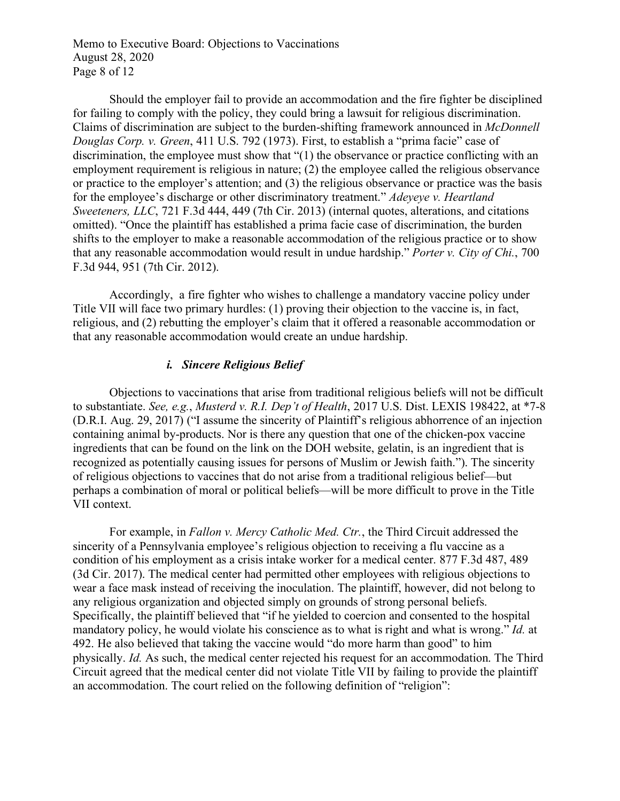Memo to Executive Board: Objections to Vaccinations August 28, 2020 Page 8 of 12

Should the employer fail to provide an accommodation and the fire fighter be disciplined for failing to comply with the policy, they could bring a lawsuit for religious discrimination. Claims of discrimination are subject to the burden-shifting framework announced in *McDonnell Douglas Corp. v. Green*, 411 U.S. 792 (1973). First, to establish a "prima facie" case of discrimination, the employee must show that "(1) the observance or practice conflicting with an employment requirement is religious in nature; (2) the employee called the religious observance or practice to the employer's attention; and (3) the religious observance or practice was the basis for the employee's discharge or other discriminatory treatment." *Adeyeye v. Heartland Sweeteners, LLC*, 721 F.3d 444, 449 (7th Cir. 2013) (internal quotes, alterations, and citations omitted). "Once the plaintiff has established a prima facie case of discrimination, the burden shifts to the employer to make a reasonable accommodation of the religious practice or to show that any reasonable accommodation would result in undue hardship." *Porter v. City of Chi.*, 700 F.3d 944, 951 (7th Cir. 2012).

Accordingly, a fire fighter who wishes to challenge a mandatory vaccine policy under Title VII will face two primary hurdles: (1) proving their objection to the vaccine is, in fact, religious, and (2) rebutting the employer's claim that it offered a reasonable accommodation or that any reasonable accommodation would create an undue hardship.

## *i. Sincere Religious Belief*

Objections to vaccinations that arise from traditional religious beliefs will not be difficult to substantiate. *See, e.g.*, *Musterd v. R.I. Dep't of Health*, 2017 U.S. Dist. LEXIS 198422, at \*7-8 (D.R.I. Aug. 29, 2017) ("I assume the sincerity of Plaintiff's religious abhorrence of an injection containing animal by-products. Nor is there any question that one of the chicken-pox vaccine ingredients that can be found on the link on the DOH website, gelatin, is an ingredient that is recognized as potentially causing issues for persons of Muslim or Jewish faith."). The sincerity of religious objections to vaccines that do not arise from a traditional religious belief—but perhaps a combination of moral or political beliefs—will be more difficult to prove in the Title VII context.

For example, in *Fallon v. Mercy Catholic Med. Ctr.*, the Third Circuit addressed the sincerity of a Pennsylvania employee's religious objection to receiving a flu vaccine as a condition of his employment as a crisis intake worker for a medical center. 877 F.3d 487, 489 (3d Cir. 2017). The medical center had permitted other employees with religious objections to wear a face mask instead of receiving the inoculation. The plaintiff, however, did not belong to any religious organization and objected simply on grounds of strong personal beliefs. Specifically, the plaintiff believed that "if he yielded to coercion and consented to the hospital mandatory policy, he would violate his conscience as to what is right and what is wrong." *Id.* at 492. He also believed that taking the vaccine would "do more harm than good" to him physically. *Id.* As such, the medical center rejected his request for an accommodation. The Third Circuit agreed that the medical center did not violate Title VII by failing to provide the plaintiff an accommodation. The court relied on the following definition of "religion":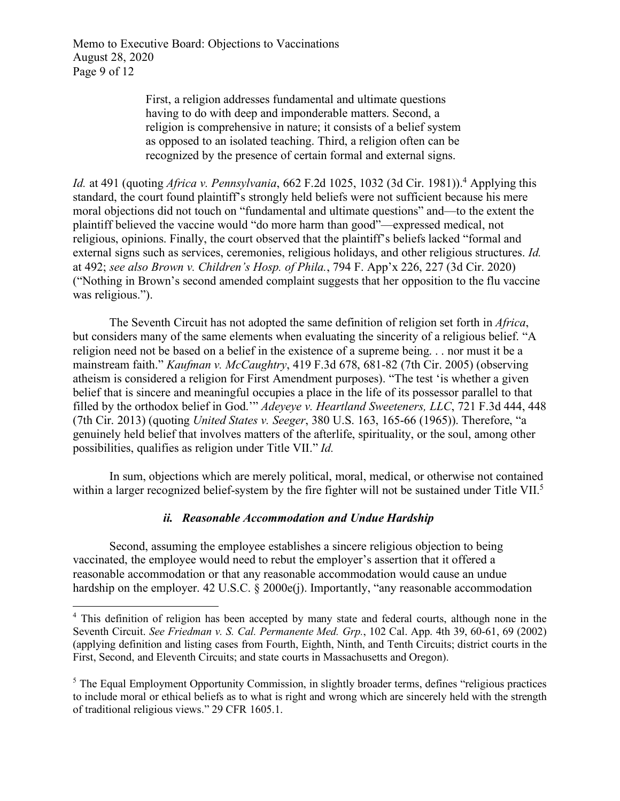Memo to Executive Board: Objections to Vaccinations August 28, 2020 Page 9 of 12

> First, a religion addresses fundamental and ultimate questions having to do with deep and imponderable matters. Second, a religion is comprehensive in nature; it consists of a belief system as opposed to an isolated teaching. Third, a religion often can be recognized by the presence of certain formal and external signs.

*Id.* at 491 (quoting *Africa v. Pennsylvania*, 662 F.2d 1025, 1032 (3d Cir. 1981)).4 Applying this standard, the court found plaintiff's strongly held beliefs were not sufficient because his mere moral objections did not touch on "fundamental and ultimate questions" and—to the extent the plaintiff believed the vaccine would "do more harm than good"—expressed medical, not religious, opinions. Finally, the court observed that the plaintiff's beliefs lacked "formal and external signs such as services, ceremonies, religious holidays, and other religious structures. *Id.*  at 492; *see also Brown v. Children's Hosp. of Phila.*, 794 F. App'x 226, 227 (3d Cir. 2020) ("Nothing in Brown's second amended complaint suggests that her opposition to the flu vaccine was religious.").

The Seventh Circuit has not adopted the same definition of religion set forth in *Africa*, but considers many of the same elements when evaluating the sincerity of a religious belief. "A religion need not be based on a belief in the existence of a supreme being. . . nor must it be a mainstream faith." *Kaufman v. McCaughtry*, 419 F.3d 678, 681-82 (7th Cir. 2005) (observing atheism is considered a religion for First Amendment purposes). "The test 'is whether a given belief that is sincere and meaningful occupies a place in the life of its possessor parallel to that filled by the orthodox belief in God.'" *Adeyeye v. Heartland Sweeteners, LLC*, 721 F.3d 444, 448 (7th Cir. 2013) (quoting *United States v. Seeger*, 380 U.S. 163, 165-66 (1965)). Therefore, "a genuinely held belief that involves matters of the afterlife, spirituality, or the soul, among other possibilities, qualifies as religion under Title VII." *Id.* 

In sum, objections which are merely political, moral, medical, or otherwise not contained within a larger recognized belief-system by the fire fighter will not be sustained under Title VII.<sup>5</sup>

## *ii. Reasonable Accommodation and Undue Hardship*

Second, assuming the employee establishes a sincere religious objection to being vaccinated, the employee would need to rebut the employer's assertion that it offered a reasonable accommodation or that any reasonable accommodation would cause an undue hardship on the employer. 42 U.S.C. § 2000e(j). Importantly, "any reasonable accommodation

<sup>&</sup>lt;sup>4</sup> This definition of religion has been accepted by many state and federal courts, although none in the Seventh Circuit. *See Friedman v. S. Cal. Permanente Med. Grp.*, 102 Cal. App. 4th 39, 60-61, 69 (2002) (applying definition and listing cases from Fourth, Eighth, Ninth, and Tenth Circuits; district courts in the First, Second, and Eleventh Circuits; and state courts in Massachusetts and Oregon).

<sup>&</sup>lt;sup>5</sup> The Equal Employment Opportunity Commission, in slightly broader terms, defines "religious practices" to include moral or ethical beliefs as to what is right and wrong which are sincerely held with the strength of traditional religious views." 29 CFR 1605.1.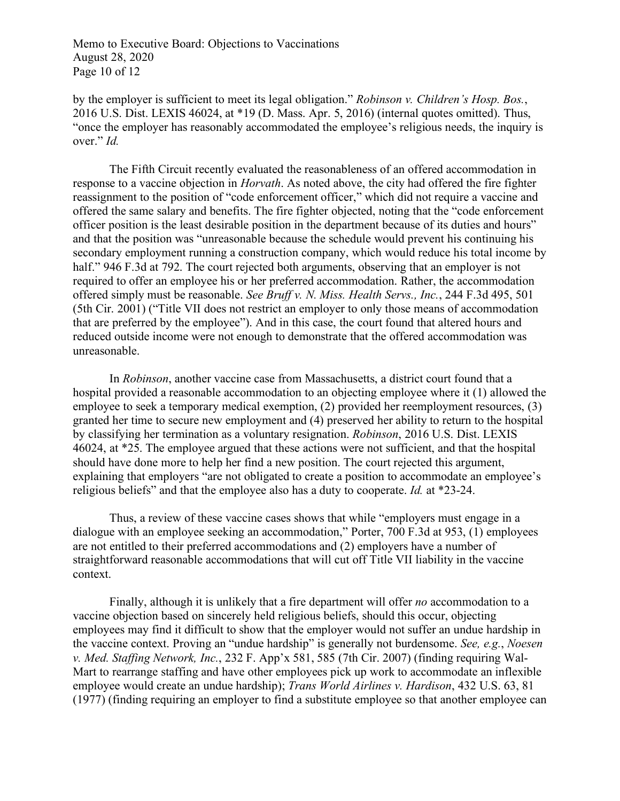Memo to Executive Board: Objections to Vaccinations August 28, 2020 Page 10 of 12

by the employer is sufficient to meet its legal obligation." *Robinson v. Children's Hosp. Bos.*, 2016 U.S. Dist. LEXIS 46024, at \*19 (D. Mass. Apr. 5, 2016) (internal quotes omitted). Thus, "once the employer has reasonably accommodated the employee's religious needs, the inquiry is over." *Id.* 

The Fifth Circuit recently evaluated the reasonableness of an offered accommodation in response to a vaccine objection in *Horvath*. As noted above, the city had offered the fire fighter reassignment to the position of "code enforcement officer," which did not require a vaccine and offered the same salary and benefits. The fire fighter objected, noting that the "code enforcement officer position is the least desirable position in the department because of its duties and hours" and that the position was "unreasonable because the schedule would prevent his continuing his secondary employment running a construction company, which would reduce his total income by half." 946 F.3d at 792. The court rejected both arguments, observing that an employer is not required to offer an employee his or her preferred accommodation. Rather, the accommodation offered simply must be reasonable. *See Bruff v. N. Miss. Health Servs., Inc.*, 244 F.3d 495, 501 (5th Cir. 2001) ("Title VII does not restrict an employer to only those means of accommodation that are preferred by the employee"). And in this case, the court found that altered hours and reduced outside income were not enough to demonstrate that the offered accommodation was unreasonable.

In *Robinson*, another vaccine case from Massachusetts, a district court found that a hospital provided a reasonable accommodation to an objecting employee where it (1) allowed the employee to seek a temporary medical exemption, (2) provided her reemployment resources, (3) granted her time to secure new employment and (4) preserved her ability to return to the hospital by classifying her termination as a voluntary resignation. *Robinson*, 2016 U.S. Dist. LEXIS 46024, at \*25. The employee argued that these actions were not sufficient, and that the hospital should have done more to help her find a new position. The court rejected this argument, explaining that employers "are not obligated to create a position to accommodate an employee's religious beliefs" and that the employee also has a duty to cooperate. *Id.* at \*23-24.

Thus, a review of these vaccine cases shows that while "employers must engage in a dialogue with an employee seeking an accommodation," Porter, 700 F.3d at 953, (1) employees are not entitled to their preferred accommodations and (2) employers have a number of straightforward reasonable accommodations that will cut off Title VII liability in the vaccine context.

Finally, although it is unlikely that a fire department will offer *no* accommodation to a vaccine objection based on sincerely held religious beliefs, should this occur, objecting employees may find it difficult to show that the employer would not suffer an undue hardship in the vaccine context. Proving an "undue hardship" is generally not burdensome. *See, e.g.*, *Noesen v. Med. Staffing Network, Inc.*, 232 F. App'x 581, 585 (7th Cir. 2007) (finding requiring Wal-Mart to rearrange staffing and have other employees pick up work to accommodate an inflexible employee would create an undue hardship); *Trans World Airlines v. Hardison*, 432 U.S. 63, 81 (1977) (finding requiring an employer to find a substitute employee so that another employee can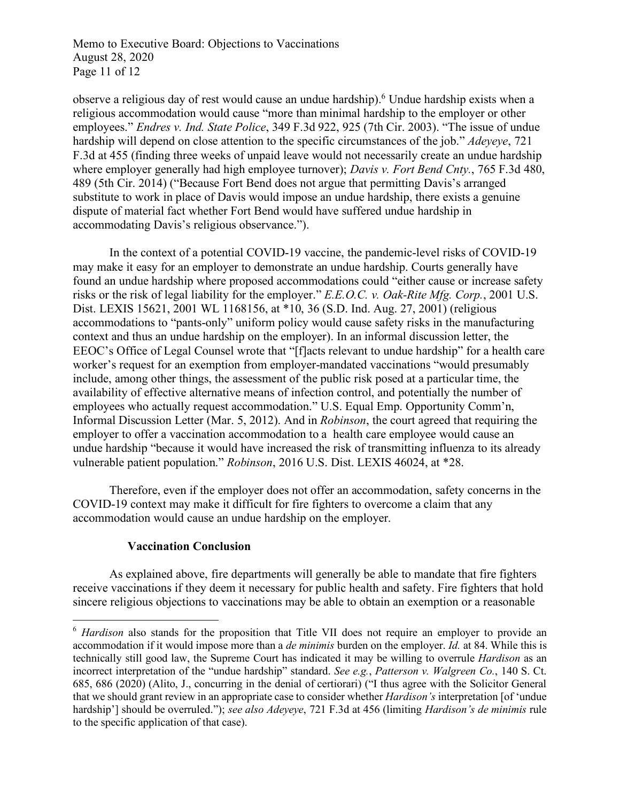Memo to Executive Board: Objections to Vaccinations August 28, 2020 Page 11 of 12

observe a religious day of rest would cause an undue hardship). <sup>6</sup> Undue hardship exists when a religious accommodation would cause "more than minimal hardship to the employer or other employees." *Endres v. Ind. State Police*, 349 F.3d 922, 925 (7th Cir. 2003). "The issue of undue hardship will depend on close attention to the specific circumstances of the job." *Adeyeye*, 721 F.3d at 455 (finding three weeks of unpaid leave would not necessarily create an undue hardship where employer generally had high employee turnover); *Davis v. Fort Bend Cnty.*, 765 F.3d 480, 489 (5th Cir. 2014) ("Because Fort Bend does not argue that permitting Davis's arranged substitute to work in place of Davis would impose an undue hardship, there exists a genuine dispute of material fact whether Fort Bend would have suffered undue hardship in accommodating Davis's religious observance.").

In the context of a potential COVID-19 vaccine, the pandemic-level risks of COVID-19 may make it easy for an employer to demonstrate an undue hardship. Courts generally have found an undue hardship where proposed accommodations could "either cause or increase safety risks or the risk of legal liability for the employer." *E.E.O.C. v. Oak-Rite Mfg. Corp.*, 2001 U.S. Dist. LEXIS 15621, 2001 WL 1168156, at \*10, 36 (S.D. Ind. Aug. 27, 2001) (religious accommodations to "pants-only" uniform policy would cause safety risks in the manufacturing context and thus an undue hardship on the employer). In an informal discussion letter, the EEOC's Office of Legal Counsel wrote that "[f]acts relevant to undue hardship" for a health care worker's request for an exemption from employer-mandated vaccinations "would presumably include, among other things, the assessment of the public risk posed at a particular time, the availability of effective alternative means of infection control, and potentially the number of employees who actually request accommodation." U.S. Equal Emp. Opportunity Comm'n, Informal Discussion Letter (Mar. 5, 2012). And in *Robinson*, the court agreed that requiring the employer to offer a vaccination accommodation to a health care employee would cause an undue hardship "because it would have increased the risk of transmitting influenza to its already vulnerable patient population." *Robinson*, 2016 U.S. Dist. LEXIS 46024, at \*28.

Therefore, even if the employer does not offer an accommodation, safety concerns in the COVID-19 context may make it difficult for fire fighters to overcome a claim that any accommodation would cause an undue hardship on the employer.

## **Vaccination Conclusion**

As explained above, fire departments will generally be able to mandate that fire fighters receive vaccinations if they deem it necessary for public health and safety. Fire fighters that hold sincere religious objections to vaccinations may be able to obtain an exemption or a reasonable

<sup>&</sup>lt;sup>6</sup> *Hardison* also stands for the proposition that Title VII does not require an employer to provide an accommodation if it would impose more than a *de minimis* burden on the employer. *Id.* at 84. While this is technically still good law, the Supreme Court has indicated it may be willing to overrule *Hardison* as an incorrect interpretation of the "undue hardship" standard. *See e.g.*, *Patterson v. Walgreen Co.*, 140 S. Ct. 685, 686 (2020) (Alito, J., concurring in the denial of certiorari) ("I thus agree with the Solicitor General that we should grant review in an appropriate case to consider whether *Hardison's* interpretation [of 'undue hardship'] should be overruled."); *see also Adeyeye*, 721 F.3d at 456 (limiting *Hardison's de minimis* rule to the specific application of that case).